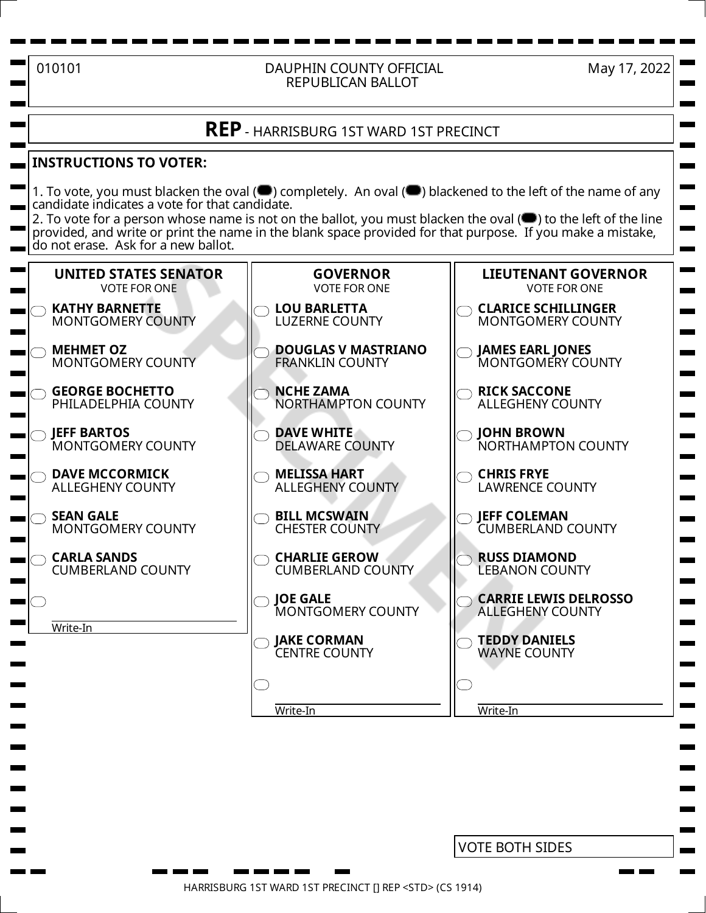## 010101 DAUPHIN COUNTY OFFICIAL REPUBLICAN BALLOT

May 17, 2022

## **REP**- HARRISBURG 1ST WARD 1ST PRECINCT

## **INSTRUCTIONS TO VOTER:**

1. To vote, you must blacken the oval ( $\blacksquare$ ) completely. An oval ( $\blacksquare$ ) blackened to the left of the name of any candidate indicates a vote for that candidate.

2. To vote for a person whose name is not on the ballot, you must blacken the oval  $($ **)** to the left of the line provided, and write or print the name in the blank space provided for that purpose. If you make a mistake, do not erase. Ask for a new ballot.